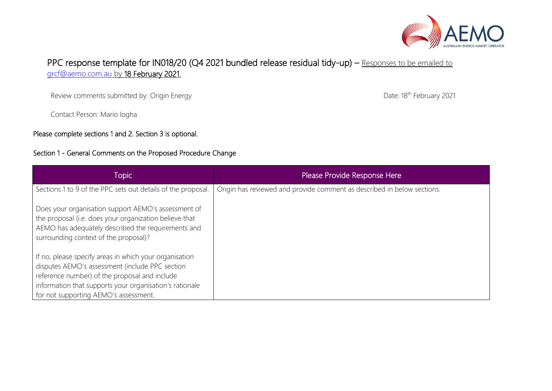

## PPC response template for IN018/20 (Q4 2021 bundled release residual tidy-up) - Responses to be emailed to [grcf@aemo.com.au](mailto:grcf@aemo.com.au) by 18 February 2021.

Review comments submitted by: Origin Energy

Contact Person: Mario Iogha

Please complete sections 1 and 2. Section 3 is optional.

## Section 1 - General Comments on the Proposed Procedure Change

Date: 18<sup>th</sup> February 2021

| Topic                                                                                                                                                                                                                                                          | Please Provide Response Here                                            |
|----------------------------------------------------------------------------------------------------------------------------------------------------------------------------------------------------------------------------------------------------------------|-------------------------------------------------------------------------|
| Sections 1 to 9 of the PPC sets out details of the proposal.                                                                                                                                                                                                   | Origin has reviewed and provide comment as described in below sections. |
| Does your organisation support AEMO's assessment of<br>the proposal (i.e. does your organization believe that<br>AEMO has adequately described the requirements and<br>surrounding context of the proposal)?                                                   |                                                                         |
| If no, please specify areas in which your organisation<br>disputes AEMO's assessment (include PPC section<br>reference number) of the proposal and include<br>information that supports your organisation's rationale<br>for not supporting AEMO's assessment. |                                                                         |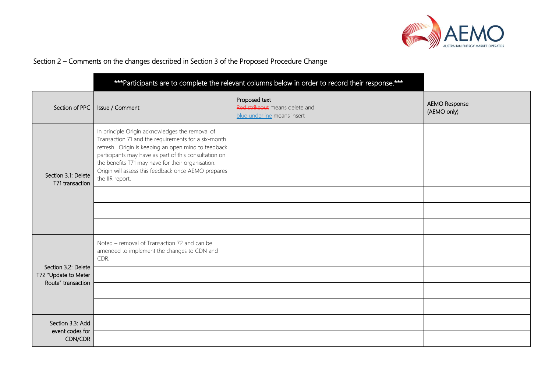

## Section 2 – Comments on the changes described in Section 3 of the Proposed Procedure Change

|                                                                   |                                                                                                                                                                                                                                                                                                                                                       | *** Participants are to complete the relevant columns below in order to record their response.*** |                                     |
|-------------------------------------------------------------------|-------------------------------------------------------------------------------------------------------------------------------------------------------------------------------------------------------------------------------------------------------------------------------------------------------------------------------------------------------|---------------------------------------------------------------------------------------------------|-------------------------------------|
| Section of PPC                                                    | Issue / Comment                                                                                                                                                                                                                                                                                                                                       | Proposed text<br>Red strikeout means delete and<br>blue underline means insert                    | <b>AEMO Response</b><br>(AEMO only) |
| Section 3.1: Delete<br>T71 transaction                            | In principle Origin acknowledges the removal of<br>Transaction 71 and the requirements for a six-month<br>refresh. Origin is keeping an open mind to feedback<br>participants may have as part of this consultation on<br>the benefits T71 may have for their organisation.<br>Origin will assess this feedback once AEMO prepares<br>the IIR report. |                                                                                                   |                                     |
|                                                                   |                                                                                                                                                                                                                                                                                                                                                       |                                                                                                   |                                     |
| Section 3.2: Delete<br>T72 "Update to Meter<br>Route" transaction | Noted - removal of Transaction 72 and can be<br>amended to implement the changes to CDN and<br>CDR.                                                                                                                                                                                                                                                   |                                                                                                   |                                     |
|                                                                   |                                                                                                                                                                                                                                                                                                                                                       |                                                                                                   |                                     |
|                                                                   |                                                                                                                                                                                                                                                                                                                                                       |                                                                                                   |                                     |
| Section 3.3: Add<br>event codes for<br>CDN/CDR                    |                                                                                                                                                                                                                                                                                                                                                       |                                                                                                   |                                     |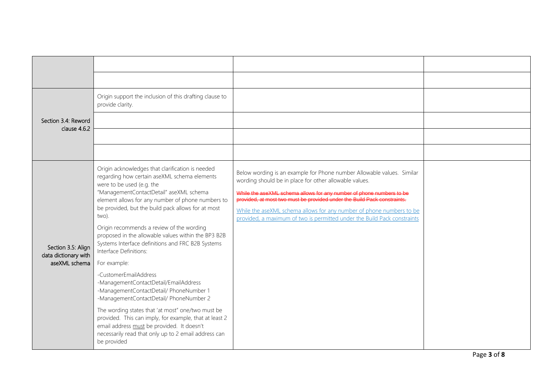| Section 3.4: Reword<br>clause 4.6.2                         | Origin support the inclusion of this drafting clause to<br>provide clarity.                                                                                                                                                                                                                                                                                                                                                                                                                                                                                                                                                                                                                                                                                                                                                                                                                 |                                                                                                                                                                                                                                                                                                                                                                                                                                          |  |
|-------------------------------------------------------------|---------------------------------------------------------------------------------------------------------------------------------------------------------------------------------------------------------------------------------------------------------------------------------------------------------------------------------------------------------------------------------------------------------------------------------------------------------------------------------------------------------------------------------------------------------------------------------------------------------------------------------------------------------------------------------------------------------------------------------------------------------------------------------------------------------------------------------------------------------------------------------------------|------------------------------------------------------------------------------------------------------------------------------------------------------------------------------------------------------------------------------------------------------------------------------------------------------------------------------------------------------------------------------------------------------------------------------------------|--|
| Section 3.5: Align<br>data dictionary with<br>aseXML schema | Origin acknowledges that clarification is needed<br>regarding how certain aseXML schema elements<br>were to be used (e.g. the<br>"ManagementContactDetail" aseXML schema<br>element allows for any number of phone numbers to<br>be provided, but the build pack allows for at most<br>two).<br>Origin recommends a review of the wording<br>proposed in the allowable values within the BP3 B2B<br>Systems Interface definitions and FRC B2B Systems<br>Interface Definitions:<br>For example:<br>-CustomerEmailAddress<br>-ManagementContactDetail/EmailAddress<br>-ManagementContactDetail/ PhoneNumber 1<br>-ManagementContactDetail/ PhoneNumber 2<br>The wording states that 'at most" one/two must be<br>provided. This can imply, for example, that at least 2<br>email address must be provided. It doesn't<br>necessarily read that only up to 2 email address can<br>be provided | Below wording is an example for Phone number Allowable values. Similar<br>wording should be in place for other allowable values.<br>While the aseXML schema allows for any number of phone numbers to be<br>provided, at most two must be provided under the Build Pack constraints.<br>While the aseXML schema allows for any number of phone numbers to be<br>provided, a maximum of two is permitted under the Build Pack constraints |  |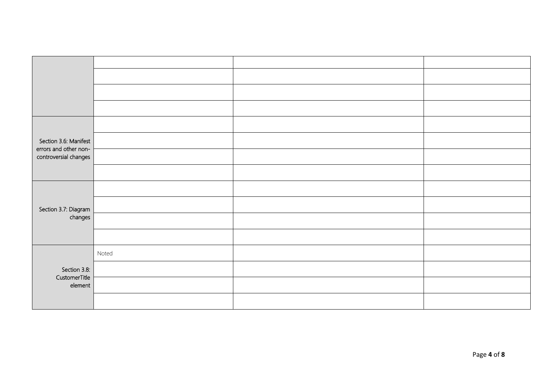| Section 3.6: Manifest                          |       |  |
|------------------------------------------------|-------|--|
| errors and other non-<br>controversial changes |       |  |
|                                                |       |  |
|                                                |       |  |
| Section 3.7: Diagram                           |       |  |
| changes                                        |       |  |
|                                                |       |  |
|                                                | Noted |  |
| Section 3.8:                                   |       |  |
| CustomerTitle<br>element                       |       |  |
|                                                |       |  |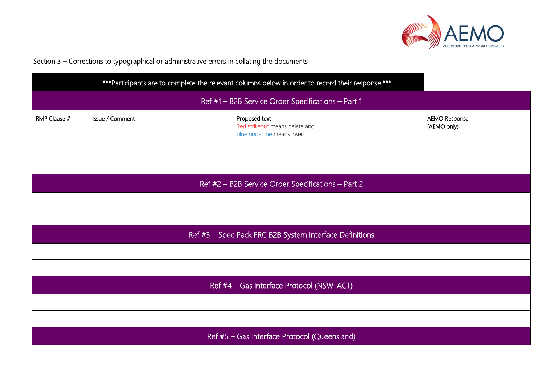

## Section 3 – Corrections to typographical or administrative errors in collating the documents

|                                                    |                                                    | *** Participants are to complete the relevant columns below in order to record their response.*** |                                     |
|----------------------------------------------------|----------------------------------------------------|---------------------------------------------------------------------------------------------------|-------------------------------------|
|                                                    | Ref #1 - B2B Service Order Specifications - Part 1 |                                                                                                   |                                     |
| RMP Clause #                                       | Issue / Comment                                    | Proposed text<br>Red strikeout means delete and<br>blue underline means insert                    | <b>AEMO Response</b><br>(AEMO only) |
|                                                    |                                                    |                                                                                                   |                                     |
|                                                    |                                                    |                                                                                                   |                                     |
| Ref #2 - B2B Service Order Specifications - Part 2 |                                                    |                                                                                                   |                                     |
|                                                    |                                                    |                                                                                                   |                                     |
|                                                    |                                                    |                                                                                                   |                                     |
|                                                    |                                                    | Ref #3 - Spec Pack FRC B2B System Interface Definitions                                           |                                     |
|                                                    |                                                    |                                                                                                   |                                     |
|                                                    |                                                    |                                                                                                   |                                     |
| Ref #4 - Gas Interface Protocol (NSW-ACT)          |                                                    |                                                                                                   |                                     |
|                                                    |                                                    |                                                                                                   |                                     |
|                                                    |                                                    |                                                                                                   |                                     |
| Ref #5 - Gas Interface Protocol (Queensland)       |                                                    |                                                                                                   |                                     |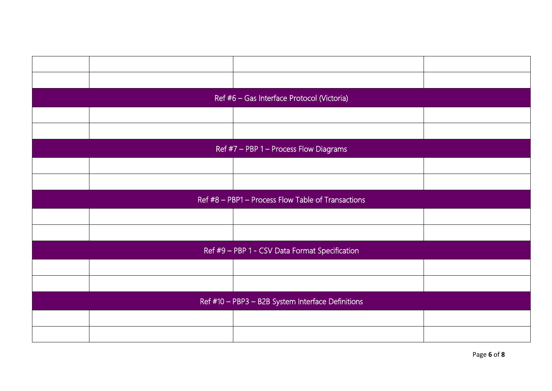|                                                   |                                                    | Ref #6 - Gas Interface Protocol (Victoria) |  |
|---------------------------------------------------|----------------------------------------------------|--------------------------------------------|--|
|                                                   |                                                    |                                            |  |
|                                                   |                                                    |                                            |  |
|                                                   |                                                    | Ref #7 - PBP 1 - Process Flow Diagrams     |  |
|                                                   |                                                    |                                            |  |
|                                                   |                                                    |                                            |  |
|                                                   | Ref #8 - PBP1 - Process Flow Table of Transactions |                                            |  |
|                                                   |                                                    |                                            |  |
|                                                   |                                                    |                                            |  |
|                                                   | Ref #9 - PBP 1 - CSV Data Format Specification     |                                            |  |
|                                                   |                                                    |                                            |  |
|                                                   |                                                    |                                            |  |
| Ref #10 - PBP3 - B2B System Interface Definitions |                                                    |                                            |  |
|                                                   |                                                    |                                            |  |
|                                                   |                                                    |                                            |  |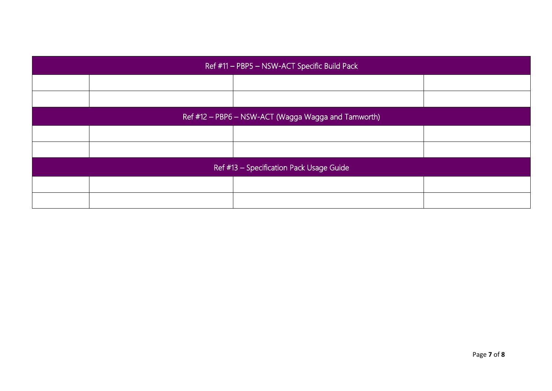| Ref #11 - PBP5 - NSW-ACT Specific Build Pack        |  |  |  |
|-----------------------------------------------------|--|--|--|
|                                                     |  |  |  |
|                                                     |  |  |  |
| Ref #12 - PBP6 - NSW-ACT (Wagga Wagga and Tamworth) |  |  |  |
|                                                     |  |  |  |
|                                                     |  |  |  |
| Ref #13 - Specification Pack Usage Guide            |  |  |  |
|                                                     |  |  |  |
|                                                     |  |  |  |